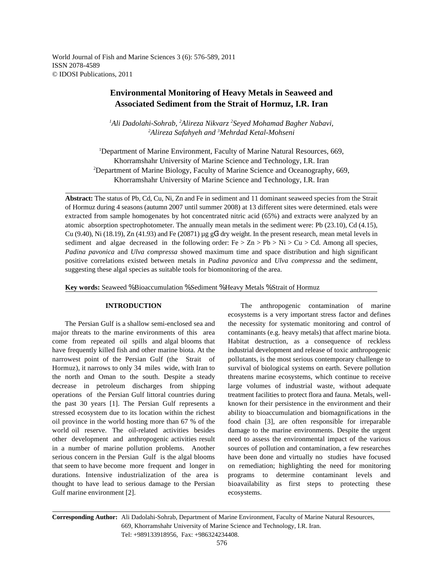World Journal of Fish and Marine Sciences 3 (6): 576-589, 2011 ISSN 2078-4589 © IDOSI Publications, 2011

# **Environmental Monitoring of Heavy Metals in Seaweed and Associated Sediment from the Strait of Hormuz, I.R. Iran**

*Ali Dadolahi-Sohrab, Alireza Nikvarz Seyed Mohamad Bagher Nabavi, <sup>1</sup> <sup>2</sup> <sup>2</sup>* <sup>2</sup>Alireza Safahyeh and <sup>3</sup>Mehrdad Ketal-Mohseni

<sup>1</sup>Department of Marine Environment, Faculty of Marine Natural Resources, 669, Khorramshahr University of Marine Science and Technology, I.R. Iran <sup>2</sup>Department of Marine Biology, Faculty of Marine Science and Oceanography, 669, Khorramshahr University of Marine Science and Technology, I.R. Iran

**Abstract:** The status of Pb, Cd, Cu, Ni, Zn and Fe in sediment and 11 dominant seaweed species from the Strait of Hormuz during 4 seasons (autumn 2007 until summer 2008) at 13 different sites were determined. etals were extracted from sample homogenates by hot concentrated nitric acid (65%) and extracts were analyzed by an atomic absorption spectrophotometer. The annually mean metals in the sediment were: Pb (23.10), Cd (4.15), Cu (9.40), Ni (18.19), Zn (41.93) and Fe (20871)  $\mu$ g gG<sup>1</sup> dry weight. In the present research, mean metal levels in sediment and algae decreased in the following order:  $Fe > Zn > Pb > Ni > Cu > Cd$ . Among all species, *Padina pavonica* and *Ulva compressa* showed maximum time and space distribution and high significant positive correlations existed between metals in *Padina pavonica* and *Ulva compressa* and the sediment, suggesting these algal species as suitable tools for biomonitoring of the area.

**Key words:** Seaweed % Bioaccumulation % Sediment % Heavy Metals % Strait of Hormuz

major threats to the marine environments of this area contaminants (e.g. heavy metals) that affect marine biota. come from repeated oil spills and algal blooms that Habitat destruction, as a consequence of reckless have frequently killed fish and other marine biota. At the industrial development and release of toxic anthropogenic narrowest point of the Persian Gulf (the Strait of pollutants, is the most serious contemporary challenge to Hormuz), it narrows to only 34 miles wide, with Iran to survival of biological systems on earth. Severe pollution the north and Oman to the south. Despite a steady threatens marine ecosystems, which continue to receive decrease in petroleum discharges from shipping large volumes of industrial waste, without adequate operations of the Persian Gulf littoral countries during treatment facilities to protect flora and fauna. Metals, wellthe past 30 years [1]. The Persian Gulf represents a known for their persistence in the environment and their stressed ecosystem due to its location within the richest ability to bioaccumulation and biomagnifications in the oil province in the world hosting more than 67 % of the food chain [3], are often responsible for irreparable world oil reserve. The oil-related activities besides damage to the marine environments. Despite the urgent other development and anthropogenic activities result need to assess the environmental impact of the various in a number of marine pollution problems. Another sources of pollution and contamination, a few researches serious concern in the Persian Gulf is the algal blooms have been done and virtually no studies have focused that seem to have become more frequent and longer in on remediation; highlighting the need for monitoring durations. Intensive industrialization of the area is programs to determine contaminant levels and thought to have lead to serious damage to the Persian bioavailability as first steps to protecting these Gulf marine environment [2]. ecosystems.

**INTRODUCTION** The anthropogenic contamination of marine The Persian Gulf is a shallow semi-enclosed sea and the necessity for systematic monitoring and control of ecosystems is a very important stress factor and defines

**Corresponding Author:** Ali Dadolahi-Sohrab, Department of Marine Environment, Faculty of Marine Natural Resources, 669, Khorramshahr University of Marine Science and Technology, I.R. Iran. Tel: +989133918956, Fax: +986324234408.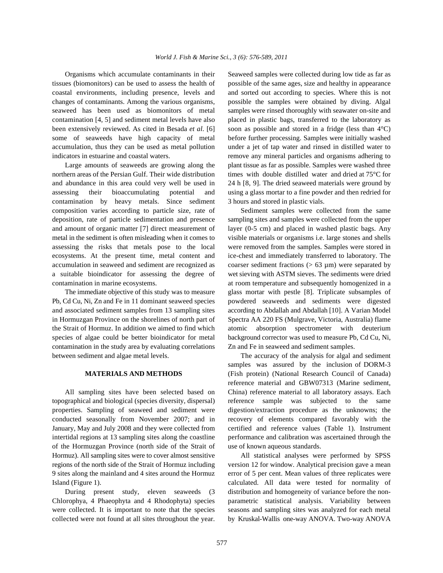tissues (biomonitors) can be used to assess the health of possible of the same ages, size and healthy in appearance coastal environments, including presence, levels and and sorted out according to species. Where this is not changes of contaminants. Among the various organisms, possible the samples were obtained by diving. Algal seaweed has been used as biomonitors of metal samples were rinsed thoroughly with seawater on-site and contamination [4, 5] and sediment metal levels have also placed in plastic bags, transferred to the laboratory as been extensively reviewed. As cited in Besada *et al*. [6] soon as possible and stored in a fridge (less than 4°C) some of seaweeds have high capacity of metal before further processing. Samples were initially washed accumulation, thus they can be used as metal pollution under a jet of tap water and rinsed in distilled water to indicators in estuarine and coastal waters. The remove any mineral particles and organisms adhering to

northern areas of the Persian Gulf. Their wide distribution times with double distilled water and dried at 75°C for and abundance in this area could very well be used in 24 h [8, 9]. The dried seaweed materials were ground by assessing their bioaccumulating potential and using a glass mortar to a fine powder and then redried for contamination by heavy metals. Since sediment 3 hours and stored in plastic vials. composition varies according to particle size, rate of Sediment samples were collected from the same deposition, rate of particle sedimentation and presence sampling sites and samples were collected from the upper and amount of organic matter [7] direct measurement of layer (0-5 cm) and placed in washed plastic bags. Any metal in the sediment is often misleading when it comes to visible materials or organisms i.e. large stones and shells assessing the risks that metals pose to the local were removed from the samples. Samples were stored in ecosystems. At the present time, metal content and ice-chest and immediately transferred to laboratory. The accumulation in seaweed and sediment are recognized as coarser sediment fractions ( $> 63 \mu m$ ) were separated by a suitable bioindicator for assessing the degree of wet sieving with ASTM sieves. The sediments were dried

Pb, Cd Cu, Ni, Zn and Fe in 11 dominant seaweed species powdered seaweeds and sediments were digested and associated sediment samples from 13 sampling sites according to Abdallah and Abdallah [10]. A Varian Model in Hormuzgan Province on the shorelines of north part of Spectra AA 220 FS (Mulgrave, Victoria, Australia) flame the Strait of Hormuz. In addition we aimed to find which atomic absorption spectrometer with deuterium species of algae could be better bioindicator for metal background corrector was used to measure Pb, Cd Cu, Ni, contamination in the study area by evaluating correlations Zn and Fe in seaweed and sediment samples. between sediment and algae metal levels. The accuracy of the analysis for algal and sediment

topographical and biological (species diversity, dispersal) reference sample was subjected to the same properties. Sampling of seaweed and sediment were digestion/extraction procedure as the unknowns; the conducted seasonally from November 2007; and in recovery of elements compared favorably with the January, May and July 2008 and they were collected from certified and reference values (Table 1). Instrument intertidal regions at 13 sampling sites along the coastline performance and calibration was ascertained through the of the Hormuzgan Province (north side of the Strait of use of known aqueous standards. Hormuz). All sampling sites were to cover almost sensitive All statistical analyses were performed by SPSS regions of the north side of the Strait of Hormuz including version 12 for window. Analytical precision gave a mean 9 sites along the mainland and 4 sites around the Hormuz error of 5 per cent. Mean values of three replicates were Island (Figure 1). calculated. All data were tested for normality of

Chlorophya, 4 Phaeophyta and 4 Rhodophyta) species parametric statistical analysis. Variability between were collected. It is important to note that the species seasons and sampling sites was analyzed for each metal collected were not found at all sites throughout the year. by Kruskal-Wallis one-way ANOVA. Two-way ANOVA

Organisms which accumulate contaminants in their Seaweed samples were collected during low tide as far as Large amounts of seaweeds are growing along the plant tissue as far as possible. Samples were washed three

contamination in marine ecosystems. at room temperature and subsequently homogenized in a The immediate objective of this study was to measure glass mortar with pestle [8]. Triplicate subsamples of

**MATERIALS AND METHODS** (Fish protein) (National Research Council of Canada) All sampling sites have been selected based on China) reference material to all laboratory assays. Each samples was assured by the inclusion of DORM-3 reference material and GBW07313 (Marine sediment,

During present study, eleven seaweeds (3 distribution and homogeneity of variance before the non-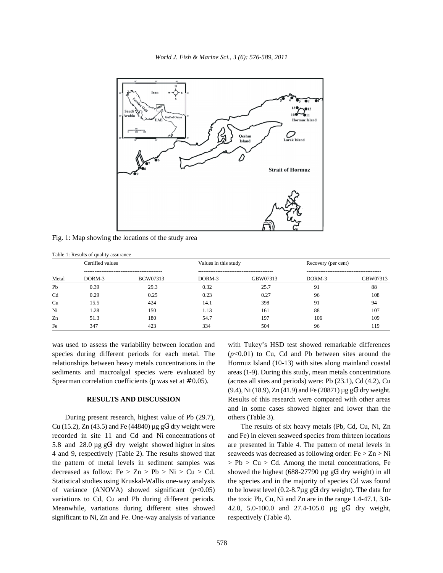

Fig. 1: Map showing the locations of the study area

|       | Table 1: Results of quality assurance |          |                      |          |                     |                                                 |  |  |  |  |  |
|-------|---------------------------------------|----------|----------------------|----------|---------------------|-------------------------------------------------|--|--|--|--|--|
| Metal | Certified values                      |          | Values in this study |          | Recovery (per cent) |                                                 |  |  |  |  |  |
|       | DORM-3                                | BGW07313 | DORM-3               | GBW07313 | DORM-3              | -----------------------------------<br>GBW07313 |  |  |  |  |  |
| Pb    | 0.39                                  | 29.3     | 0.32                 | 25.7     | 91                  | 88                                              |  |  |  |  |  |
| Cd    | 0.29                                  | 0.25     | 0.23                 | 0.27     | 96                  | 108                                             |  |  |  |  |  |
| Cu    | 15.5                                  | 424      | 14.1                 | 398      | 91                  | 94                                              |  |  |  |  |  |
| Ni    | 1.28                                  | 150      | 1.13                 | 161      | 88                  | 107                                             |  |  |  |  |  |
| Zn    | 51.3                                  | 180      | 54.7                 | 197      | 106                 | 109                                             |  |  |  |  |  |
| Fe    | 347                                   | 423      | 334                  | 504      | 96                  | 119                                             |  |  |  |  |  |

was used to assess the variability between location and with Tukey's HSD test showed remarkable differences species during different periods for each metal. The  $(p<0.01)$  to Cu, Cd and Pb between sites around the relationships between heavy metals concentrations in the Hormuz Island (10-13) with sites along mainland coastal sediments and macroalgal species were evaluated by areas (1-9). During this study, mean metals concentrations Spearman correlation coefficients (p was set at  $# 0.05$ ). (across all sites and periods) were: Pb (23.1), Cd (4.2), Cu

During present research, highest value of Pb (29.7), others (Table 3). Cu (15.2), Zn (43.5) and Fe (44840)  $\mu$ g gG<sup>1</sup> dry weight were The results of six heavy metals (Pb, Cd, Cu, Ni, Zn recorded in site 11 and Cd and Ni concentrations of and Fe) in eleven seaweed species from thirteen locations 5.8 and 28.0  $\mu$ g gG<sup>1</sup> dry weight showed higher in sites 4 and 9, respectively (Table 2). The results showed that seaweeds was decreased as following order: Fe > Zn > Ni the pattern of metal levels in sediment samples was  $\Rightarrow Pb > Cu > Cd$ . Among the metal concentrations, Fe decreased as follow: Fe > Zn > Pb > Ni > Cu > Cd. showed the highest (688-27790 µg gG<sup>1</sup> dry weight) in all Statistical studies using Kruskal-Wallis one-way analysis the species and in the majority of species Cd was found of variance (ANOVA) showed significant  $(p<0.05)$  to be lowest level  $(0.2-8.7\mu g G<sup>1</sup>$  dry weight). The data for variations to Cd, Cu and Pb during different periods. the toxic Pb, Cu, Ni and Zn are in the range 1.4-47.1, 3.0- Meanwhile, variations during different sites showed  $42.0, 5.0-100.0$  and  $27.4-105.0$  µg gG<sup>1</sup> dry weight, significant to Ni, Zn and Fe. One-way analysis of variance respectively (Table 4).

**RESULTS AND DISCUSSION** Results of this research were compared with other areas (9.4), Ni (18.9), Zn (41.9) and Fe (20871)  $\mu$ g g $G<sup>1</sup>$  dry weight. and in some cases showed higher and lower than the

are presented in Table 4. The pattern of metal levels in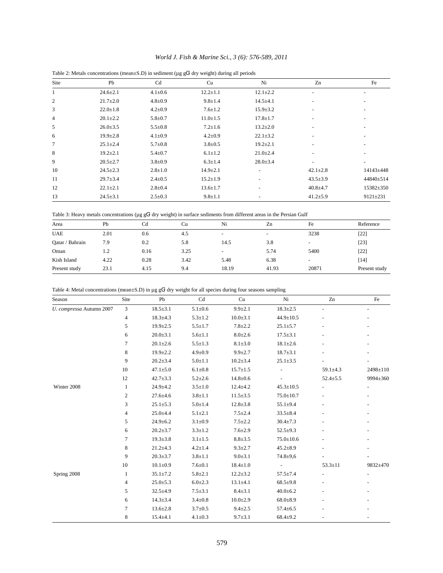| Site | Pb             | Cd            | Cu             | Ni                       | Zn                       | Fe             |
|------|----------------|---------------|----------------|--------------------------|--------------------------|----------------|
| 1    | $24.6 \pm 2.1$ | $4.1 \pm 0.6$ | $12.2 \pm 1.1$ | $12.1 \pm 2.2$           |                          |                |
| 2    | $21.7 \pm 2.0$ | $4.8 \pm 0.9$ | $9.8 \pm 1.4$  | $14.5 + 4.1$             | $\overline{\phantom{a}}$ |                |
| 3    | $22.0 \pm 1.8$ | $4.2 \pm 0.9$ | $7.6 \pm 1.2$  | $15.9 \pm 3.2$           |                          |                |
| 4    | $20.1 \pm 2.2$ | $5.8 \pm 0.7$ | $11.0 \pm 1.5$ | $17.8 \pm 1.7$           | $\sim$                   |                |
| 5    | $26.0 \pm 3.5$ | $5.5 \pm 0.8$ | $7.2 \pm 1.6$  | $13.2 \pm 2.0$           |                          |                |
| 6    | $19.9 \pm 2.8$ | $4.1 \pm 0.9$ | $4.2 \pm 0.9$  | $22.1 \pm 3.2$           |                          |                |
| 7    | $25.1 \pm 2.4$ | $5.7 \pm 0.8$ | $3.8 \pm 0.5$  | $19.2 \pm 2.1$           |                          |                |
| 8    | $19.2 \pm 2.1$ | $5.4 \pm 0.7$ | $6.1 \pm 1.2$  | $21.0 \pm 2.4$           |                          |                |
| 9    | $20.5 \pm 2.7$ | $3.8 \pm 0.9$ | $6.3 \pm 1.4$  | $28.0 \pm 3.4$           | $\overline{\phantom{a}}$ |                |
| 10   | $24.5 \pm 2.3$ | $2.8 \pm 1.0$ | $14.9 \pm 2.1$ | $\overline{\phantom{a}}$ | $42.1 \pm 2.8$           | 14143±448      |
| 11   | $29.7 + 3.4$   | $2.4 \pm 0.5$ | $15.2 \pm 1.9$ | -                        | $43.5 \pm 3.9$           | 44840±514      |
| 12   | $22.1 \pm 2.1$ | $2.8 \pm 0.4$ | $13.6 \pm 1.7$ | -                        | $40.8 \pm 4.7$           | 15382±350      |
| 13   | $24.5 \pm 3.1$ | $2.5 \pm 0.3$ | $9.8 \pm 1.1$  |                          | $41.2 \pm 5.9$           | $9121 \pm 231$ |

Table 2: Metals concentrations (mean $\pm$ S.D) in sediment (µg gG<sup>1</sup> dry weight) during all periods

Table 3: Heavy metals concentrations ( $\mu$ g gG<sup>1</sup> dry weight) in surface sediments from different areas in the Persian Gulf

| Area            | Pb   | Cd   | Cu   | Ni                       | Zn                       | Fe                       | Reference     |
|-----------------|------|------|------|--------------------------|--------------------------|--------------------------|---------------|
| <b>UAE</b>      | 2.01 | 0.6  | 4.5  | $\overline{\phantom{a}}$ | $\overline{\phantom{a}}$ | 3238                     | $[22]$        |
| Qatar / Bahrain | 7.9  | 0.2  | 5.8  | 14.5                     | 3.8                      | -                        | $[23]$        |
| Oman            | 1.2  | 0.16 | 3.25 | ۰                        | 5.74                     | 5400                     | $[22]$        |
| Kish Island     | 4.22 | 0.28 | 3.42 | 5.48                     | 6.38                     | $\overline{\phantom{0}}$ | [14]          |
| Present study   | 23.1 | 4.15 | 9.4  | 18.19                    | 41.93                    | 20871                    | Present study |

| Table 4: Metal concentrations (mean $\pm$ S.D) in µg gG <sup>1</sup> dry weight for all species during four seasons sampling |  |  |  |  |
|------------------------------------------------------------------------------------------------------------------------------|--|--|--|--|
|                                                                                                                              |  |  |  |  |

| Season                   | Site             | Pb             | Cd            | Cu             | Ni              | Zn             | Fe       |
|--------------------------|------------------|----------------|---------------|----------------|-----------------|----------------|----------|
| U. compressa Autumn 2007 | 3                | $18.5 \pm 3.1$ | $5.1 \pm 0.6$ | $9.9 \pm 2.1$  | $18.3 \pm 2.5$  |                |          |
|                          | $\overline{4}$   | $18.3 \pm 4.3$ | $5.3 \pm 1.2$ | $10.0 \pm 3.1$ | $44.9 \pm 10.5$ |                |          |
|                          | 5                | $19.9 \pm 2.5$ | $5.5 \pm 1.7$ | $7.8 + 2.2$    | $25.1 \pm 5.7$  |                |          |
|                          | 6                | $20.0 \pm 3.1$ | $5.6 \pm 1.1$ | $8.0 \pm 2.6$  | $17.5 \pm 3.1$  |                |          |
|                          | $\overline{7}$   | $20.1 \pm 2.6$ | $5.5 \pm 1.3$ | $8.1 \pm 3.0$  | $18.1 \pm 2.6$  |                |          |
|                          | 8                | $19.9 \pm 2.2$ | $4.9 \pm 0.9$ | $9.9 \pm 2.7$  | $18.7 \pm 3.1$  |                |          |
|                          | 9                | $20.2 \pm 3.4$ | $5.0 \pm 1.1$ | $10.2 \pm 3.4$ | $25.1 \pm 3.5$  |                |          |
|                          | 10               | $47.1 \pm 5.0$ | $6.1 \pm 0.8$ | $15.7 \pm 1.5$ |                 | $59.1 \pm 4.3$ | 2498±110 |
|                          | 12               | $42.7 \pm 3.3$ | $5.2 \pm 2.6$ | $14.8 \pm 0.6$ |                 | $52.4 \pm 5.5$ | 9994±360 |
| Winter 2008              | $\mathbf{1}$     | $24.9 \pm 4.2$ | $3.5 \pm 1.0$ | $12.4 + 4.2$   | $45.3 \pm 10.5$ |                |          |
|                          | $\boldsymbol{2}$ | $27.6 \pm 4.6$ | $3.8 + 1.1$   | $11.5 \pm 3.5$ | $75.0 \pm 10.7$ |                |          |
|                          | 3                | $25.1 \pm 5.3$ | $5.0 \pm 1.4$ | $12.8 \pm 3.8$ | $55.1 \pm 9.4$  |                |          |
|                          | $\overline{4}$   | $25.0 \pm 4.4$ | $5.1 \pm 2.1$ | $7.5 \pm 2.4$  | $33.5 \pm 8.4$  |                |          |
|                          | 5                | $24.9 \pm 6.2$ | $3.1 \pm 0.9$ | $7.5 \pm 2.2$  | $30.4 \pm 7.3$  |                |          |
|                          | 6                | $20.2 \pm 3.7$ | $3.3 \pm 1.2$ | $7.6 \pm 2.9$  | $52.5 \pm 9.3$  |                |          |
|                          | 7                | $19.3 \pm 3.8$ | $3.1 \pm 1.5$ | $8.8 + 3.5$    | $75.0 \pm 10.6$ |                |          |
|                          | 8                | $21.2 \pm 4.3$ | $4.2 \pm 1.4$ | $9.3 \pm 2.7$  | $45.2 \pm 8.9$  |                |          |
|                          | 9                | $20.3 \pm 3.7$ | $3.8 + 1.1$   | $9.0 + 3.1$    | $74.8 + 9.6$    |                |          |
|                          | 10               | $10.1 \pm 0.9$ | $7.6 \pm 0.1$ | $18.4 \pm 1.0$ |                 | $53.3 \pm 11$  | 9832±470 |
| Spring 2008              | 1                | $35.1 \pm 7.2$ | $5.8 + 2.1$   | $12.2 \pm 3.2$ | $57.5 \pm 7.4$  |                |          |
|                          | $\overline{4}$   | $25.0 \pm 5.3$ | $6.0 \pm 2.3$ | $13.1 \pm 4.1$ | $68.5+9.8$      |                |          |
|                          | 5                | $32.5 \pm 4.9$ | $7.5 + 3.1$   | $8.4 \pm 3.1$  | $40.0 \pm 6.2$  |                |          |
|                          | 6                | $14.3 \pm 3.4$ | $3.4 \pm 0.8$ | $10.0 \pm 2.9$ | $68.0 \pm 8.9$  |                |          |
|                          | 7                | $13.6 \pm 2.8$ | $3.7 \pm 0.5$ | $9.4 \pm 2.5$  | $57.4 \pm 6.5$  |                |          |
|                          | 8                | $15.4 \pm 4.1$ | $4.1 \pm 0.3$ | $9.7 + 3.1$    | $68.4 \pm 9.2$  |                |          |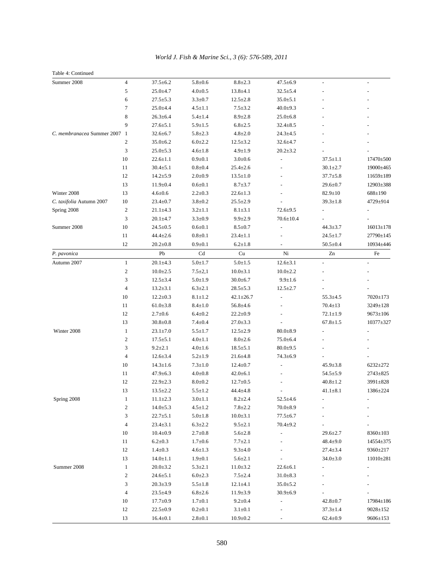| Table 4: Continued           |                          |                |                            |                            |                 |                |                 |
|------------------------------|--------------------------|----------------|----------------------------|----------------------------|-----------------|----------------|-----------------|
| Summer 2008                  | $\overline{4}$           | $37.5 \pm 6.2$ | $5.8 + 0.6$                | $8.8 + 2.3$                | $47.5 \pm 6.9$  |                |                 |
|                              | 5                        | $25.0 + 4.7$   | $4.0 + 0.5$                | $13.8 + 4.1$               | $32.5 \pm 5.4$  |                |                 |
|                              | 6                        | $27.5 \pm 5.3$ | $3.3 \pm 0.7$              | $12.5 \pm 2.8$             | $35.0 \pm 5.1$  |                |                 |
|                              | 7                        | $25.0 \pm 4.4$ | $4.5 \pm 1.1$              | $7.5 \pm 3.2$              | $40.0 \pm 9.3$  |                |                 |
|                              | $\,$ 8 $\,$              | $26.3 \pm 6.4$ | $5.4 \pm 1.4$              | $8.9 \pm 2.8$              | $25.0 \pm 6.8$  |                |                 |
|                              | 9                        | $27.6 \pm 5.1$ | $5.9 \pm 1.5$              | $6.8 \pm 2.5$              | $32.4 \pm 8.5$  |                |                 |
| C. membranacea Summer 2007 1 |                          | $32.6 \pm 6.7$ | $5.8 \pm 2.3$              | $4.8 + 2.0$                | $24.3 \pm 4.5$  |                |                 |
|                              | $\mathfrak{2}$           | $35.0 \pm 6.2$ | $6.0 \pm 2.2$              | $12.5 \pm 3.2$             | $32.6 \pm 4.7$  |                |                 |
|                              | 3                        | $25.0 \pm 5.3$ | $4.6 \pm 1.8$              | $4.9 \pm 1.9$              | $20.2 \pm 3.2$  |                |                 |
|                              | 10                       | $22.6 \pm 1.1$ | $0.9 + 0.1$                | $3.0 \pm 0.6$              | $\overline{a}$  | $37.5 \pm 1.1$ | 17470±500       |
|                              | 11                       | $30.4 \pm 5.1$ | $0.8 + 0.4$                | $25.4 \pm 2.6$             |                 | $30.1 \pm 2.7$ | 19000±465       |
|                              | 12                       | $14.2 \pm 5.9$ | $2.0 \pm 0.9$              | $13.5 \pm 1.0$             |                 | $37.7 \pm 5.8$ | 11659±189       |
|                              | 13                       | $11.9 \pm 0.4$ | $0.6 \pm 0.1$              | $8.7 \pm 3.7$              |                 | $29.6 \pm 0.7$ | 12903±388       |
| Winter 2008                  | 13                       | $4.6 \pm 0.6$  | $2.2 \pm 0.3$              | $22.6 \pm 1.3$             |                 | $82.9 \pm 10$  | 688±190         |
| C. taxifolia Autumn 2007     | 10                       | $23.4 \pm 0.7$ | $3.8 \pm 0.2$              | $25.5 \pm 2.9$             |                 | $39.3 \pm 1.8$ | 4729±914        |
| Spring 2008                  | $\boldsymbol{2}$         | $21.1 \pm 4.3$ | $3.2 \pm 1.1$              | $8.1 \pm 3.1$              | $72.6 + 9.5$    |                |                 |
|                              | 3                        | $20.1 + 4.7$   | $3.3 \pm 0.9$              | $9.9 + 2.9$                | $70.6 \pm 10.4$ |                |                 |
| Summer 2008                  | 10                       | $24.5 \pm 0.5$ | $0.6 + 0.1$                | $8.5 \pm 0.7$              |                 | $44.3 \pm 3.7$ | $16013 \pm 178$ |
|                              | 11                       | $44.4 \pm 2.6$ | $0.8 + 0.1$                | $23.4 \pm 1.1$             |                 | $24.5 \pm 1.7$ | 27790±145       |
|                              | 12                       | $20.2 \pm 0.8$ | $0.9 \pm 0.1$              | $6.2 \pm 1.8$              |                 | $50.5 \pm 0.4$ | 10934±446       |
| P. pavonica                  |                          | Pb             | $\ensuremath{\mathrm{Cd}}$ | $\ensuremath{\mathrm{Cu}}$ | Ni              | Zn             | Fe              |
| Autumn 2007                  | $\mathbf{1}$             | $20.1 \pm 4.3$ | $5.0 \pm 1.7$              | $5.0 + 1.5$                | $12.6 \pm 3.1$  |                |                 |
|                              | $\sqrt{2}$               | $10.0 \pm 2.5$ | $7.5 \pm 2.1$              | $10.0 \pm 3.1$             | $10.0 \pm 2.2$  |                |                 |
|                              | 3                        | $12.5 \pm 3.4$ | $5.0 + 1.9$                | $30.0 + 6.7$               | $9.9 + 1.6$     |                |                 |
|                              | $\overline{\mathcal{L}}$ | $13.2 \pm 3.1$ | $6.3 \pm 2.1$              | $28.5 \pm 5.3$             | $12.5 \pm 2.7$  |                |                 |
|                              | 10                       | $12.2 \pm 0.3$ | $8.1 \pm 1.2$              | $42.1 \pm 26.7$            | $\overline{a}$  | $55.3 \pm 4.5$ | 7020±173        |
|                              | 11                       | $61.0 \pm 3.8$ | $8.4 \pm 1.0$              | $56.8 + 4.6$               |                 | $70.4 \pm 13$  | 3249±128        |
|                              | 12                       | $2.7 \pm 0.6$  | $6.4 \pm 0.2$              | $22.2 \pm 0.9$             |                 | $72.1 \pm 1.9$ | $9673 \pm 106$  |
|                              | 13                       | $30.8 \pm 0.8$ | $7.4 + 0.4$                | $27.0 \pm 3.3$             |                 | $67.8 \pm 1.5$ | 10377±327       |
| Winter 2008                  | $\mathbf{1}$             | $23.1 \pm 7.0$ | $5.5 \pm 1.7$              | $12.5 \pm 2.9$             | $80.0 + 8.9$    |                |                 |
|                              | $\boldsymbol{2}$         | $17.5 \pm 5.1$ | $4.0 \pm 1.1$              | $8.0 \pm 2.6$              | $75.0 \pm 6.4$  |                |                 |
|                              | 3                        | $9.2 \pm 2.1$  | $4.0 \pm 1.6$              | $18.5 \pm 5.1$             | $80.0 \pm 9.5$  |                |                 |
|                              | $\overline{\mathcal{L}}$ | $12.6 \pm 3.4$ | $5.2 \pm 1.9$              | $21.6 \pm 4.8$             | $74.3 \pm 6.9$  |                |                 |
|                              | 10                       | $14.3 \pm 1.6$ | $7.3 \pm 1.0$              | $12.4 \pm 0.7$             |                 | $45.9 \pm 3.8$ | 6232±272        |
|                              | 11                       | $47.9 \pm 6.3$ | $4.0 \pm 0.8$              | $42.0 \pm 6.1$             |                 | $54.5 \pm 5.9$ | 2743±825        |
|                              | 12                       | $22.9 \pm 2.3$ | $8.0 + 0.2$                | $12.7 \pm 0.5$             |                 | $40.8 \pm 1.2$ | 3991±828        |
|                              | 13                       | $13.5 \pm 2.2$ | $5.5 \pm 1.2$              | 44.4±4.8                   |                 | $41.1 \pm 8.1$ | 1386±224        |
| Spring 2008                  | $\mathbf{1}$             | $11.1 \pm 2.3$ | $3.0 \pm 1.1$              | $8.2 \pm 2.4$              | $52.5 \pm 4.6$  |                |                 |
|                              | $\boldsymbol{2}$         | $14.0 \pm 5.3$ | $4.5 \pm 1.2$              | $7.8 + 2.2$                | $70.0 + 8.9$    |                |                 |
|                              | 3                        | $22.7 \pm 5.1$ | $5.0 \pm 1.8$              | $10.0 \pm 3.1$             | $77.5 \pm 6.7$  |                |                 |
|                              | $\overline{4}$           | $23.4 \pm 3.1$ | $6.3 \pm 2.2$              | $9.5 \pm 2.1$              | $70.4 \pm 9.2$  |                |                 |
|                              | $10\,$                   | $10.4 \pm 0.9$ | $2.7 \pm 0.8$              | $5.6 \pm 2.8$              |                 | $29.6 \pm 2.7$ | 8360±103        |
|                              | 11                       | $6.2 \pm 0.3$  | $1.7 \pm 0.6$              | $7.7 \pm 2.1$              |                 | $48.4 \pm 9.0$ | 14554±375       |
|                              | 12                       | $1.4 \pm 0.3$  | $4.6 \pm 1.3$              | $9.3 \pm 4.0$              |                 | $27.4 \pm 3.4$ | 9360±217        |
|                              | 13                       | $14.0 \pm 1.1$ | $1.9 \pm 0.1$              | $5.6 \pm 2.1$              |                 | $34.0 \pm 3.0$ | $11010\pm 281$  |
| Summer 2008                  | $\mathbf{1}$             | $20.0 \pm 3.2$ | $5.3 \pm 2.1$              | $11.0 \pm 3.2$             | $22.6 \pm 6.1$  |                |                 |
|                              | $\boldsymbol{2}$         | $24.6 \pm 5.1$ | $6.0 \pm 2.3$              | $7.5 \pm 2.4$              | $31.0 \pm 8.3$  |                |                 |
|                              | 3                        | $20.3 \pm 3.9$ | $5.5 \pm 1.8$              | $12.1 \pm 4.1$             | $35.0 \pm 5.2$  |                |                 |
|                              | $\overline{4}$           | $23.5 \pm 4.9$ | $6.8 \pm 2.6$              | $11.9 \pm 3.9$             | $30.9 \pm 6.9$  |                |                 |
|                              | 10                       | $17.7 \pm 0.9$ | $1.7 \pm 0.1$              | $9.2 \pm 0.4$              |                 | $42.8 \pm 0.7$ | 17984±186       |
|                              | 12                       | $22.5 \pm 0.9$ | $0.2 \pm 0.1$              | $3.1 \pm 0.1$              |                 | $37.3{\pm}1.4$ | 9028±152        |
|                              | 13                       | $16.4 \pm 0.1$ | $2.8 \pm 0.1$              | $10.9 \pm 0.2$             |                 | $62.4 \pm 0.9$ | 9606±153        |
|                              |                          |                |                            |                            |                 |                |                 |

*World J. Fish & Marine Sci., 3 (6): 576-589, 2011*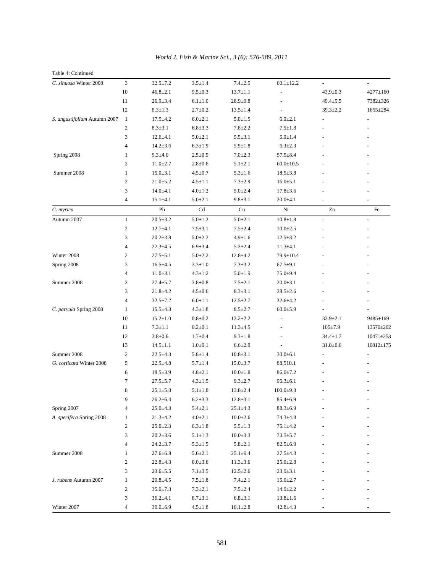| Table 4: Continued           |                         |                |               |                |                 |                          |                 |
|------------------------------|-------------------------|----------------|---------------|----------------|-----------------|--------------------------|-----------------|
| C. sinuosa Winter 2008       | 3                       | $32.5 \pm 7.2$ | $3.5 \pm 1.4$ | $7.4 \pm 2.5$  | $60.1 \pm 12.2$ |                          |                 |
|                              | 10                      | $46.8 \pm 2.1$ | $9.5 \pm 0.3$ | $13.7 \pm 1.1$ |                 | $43.9 \pm 0.3$           | 4277±160        |
|                              | 11                      | $26.9 \pm 3.4$ | $6.1 \pm 1.0$ | $28.9 \pm 0.8$ |                 | $49.4 \pm 5.5$           | 7382±326        |
|                              | 12                      | $8.3 \pm 1.3$  | $2.7 \pm 0.2$ | $13.5 \pm 1.4$ | $\sim$          | $39.3 \pm 2.2$           | 1655±284        |
| S. angustifolium Autumn 2007 | $\mathbf{1}$            | $17.5 \pm 4.2$ | $6.0 \pm 2.1$ | $5.0 \pm 1.5$  | $6.0 \pm 2.1$   |                          |                 |
|                              | $\mathfrak{2}$          | $8.3 \pm 3.1$  | $6.8 + 3.3$   | $7.6 \pm 2.2$  | $7.5 \pm 1.8$   |                          |                 |
|                              | 3                       | $12.6 \pm 4.1$ | $5.0 \pm 2.1$ | $5.5 \pm 3.1$  | $5.0 \pm 1.4$   |                          |                 |
|                              | $\overline{4}$          | $14.2 \pm 3.6$ | $6.3 \pm 1.9$ | $5.9 \pm 1.8$  | $6.3 \pm 2.3$   |                          |                 |
| Spring 2008                  | 1                       | $9.3 \pm 4.0$  | $2.5 \pm 0.9$ | $7.0 \pm 2.3$  | $57.5 \pm 8.4$  |                          |                 |
|                              | 2                       | $11.0 \pm 2.7$ | $2.8 \pm 0.6$ | $5.1 \pm 2.1$  | $60.0 \pm 10.5$ |                          |                 |
| Summer 2008                  | 1                       | $15.0 \pm 3.1$ | $4.5 \pm 0.7$ | $5.3 \pm 1.6$  | $18.5 \pm 3.8$  |                          |                 |
|                              | $\mathfrak{2}$          | $21.0 + 5.2$   | $4.5 \pm 1.1$ | $7.3 \pm 2.9$  | $16.0 \pm 5.1$  |                          |                 |
|                              | 3                       | $14.0 + 4.1$   | $4.0 \pm 1.2$ | $5.0 \pm 2.4$  | $17.8 \pm 3.6$  |                          |                 |
|                              | $\overline{\mathbf{4}}$ | $15.1 \pm 4.1$ | $5.0 + 2.1$   | $9.8 + 3.1$    | $20.0 + 4.1$    |                          |                 |
| C. myrica                    |                         | Pb             | Cd            | Cu             | Ni              | Zn                       | Fe              |
| Autumn 2007                  | $\mathbf{1}$            | $20.5 \pm 3.2$ | $5.0 \pm 1.2$ | $5.0 \pm 2.1$  | $10.8 + 1.8$    | $\overline{\phantom{a}}$ | $\overline{a}$  |
|                              | $\boldsymbol{2}$        | $12.7 + 4.1$   | $7.5 \pm 3.1$ | $7.5 \pm 2.4$  | $10.0 \pm 2.5$  |                          |                 |
|                              | 3                       | $20.2 \pm 3.8$ | $5.0 \pm 2.2$ | $4.9 \pm 1.6$  | $12.5 \pm 3.2$  |                          |                 |
|                              | 4                       | $22.3 \pm 4.5$ | $6.9 + 3.4$   | $5.2 \pm 2.4$  | $11.3 \pm 4.1$  |                          |                 |
| Winter 2008                  | 2                       | $27.5 \pm 5.1$ | $5.0 \pm 2.2$ | $12.8 + 4.2$   | 79.9±10.4       |                          |                 |
| Spring 2008                  | 3                       | $16.5 \pm 4.5$ | $3.3 \pm 1.0$ | $7.3 \pm 3.2$  | $67.5 \pm 9.1$  |                          |                 |
|                              | 4                       | $11.0 \pm 3.1$ | $4.3 \pm 1.2$ | $5.0 + 1.9$    | $75.0 + 9.4$    |                          |                 |
| Summer 2008                  | 2                       | $27.4 \pm 5.7$ | $3.8 + 0.8$   | $7.5 \pm 2.1$  | $20.0 \pm 3.1$  |                          |                 |
|                              | 3                       | $21.8 + 4.2$   | $4.5 \pm 0.6$ | $8.3 \pm 3.1$  | $28.5 \pm 2.6$  |                          |                 |
|                              | $\overline{4}$          | $32.5 \pm 7.2$ | $6.0 \pm 1.1$ | $12.5 \pm 2.7$ | $32.6 \pm 4.2$  |                          |                 |
| C. parvula Spring 2008       | 1                       | $15.5 \pm 4.3$ | $4.3 \pm 1.8$ | $8.5 \pm 2.7$  | $60.0 \pm 5.9$  |                          |                 |
|                              | 10                      | $15.2 \pm 1.0$ | $0.8 + 0.2$   | $13.2 \pm 2.2$ |                 | $32.9 \pm 2.1$           | 9485±169        |
|                              | 11                      | $7.3 \pm 1.1$  | $0.2 \pm 0.1$ | $11.3 \pm 4.5$ |                 | $105 \pm 7.9$            | 13570±202       |
|                              | 12                      | $3.8 \pm 0.6$  | $1.7 + 0.4$   | $9.3 \pm 1.8$  |                 | $34.4 \pm 1.7$           | $10471 \pm 253$ |
|                              | 13                      | $14.5 \pm 1.1$ | $1.0 \pm 0.1$ | $6.6 \pm 2.9$  |                 | $31.8 \pm 0.6$           | $10812 \pm 175$ |
| Summer 2008                  | 2                       | $22.5 \pm 4.3$ | $5.8 \pm 1.4$ | $10.8 \pm 3.1$ | $30.0 + 6.1$    |                          |                 |
| G. corticata Winter 2008     | 5                       | $22.5 \pm 4.8$ | $5.7 \pm 1.4$ | $15.0 \pm 3.7$ | 88.510.1        |                          |                 |
|                              | 6                       | $18.5 \pm 3.9$ | $4.8 \pm 2.1$ | $10.0 \pm 1.8$ | $86.0 \pm 7.2$  |                          |                 |
|                              | $\tau$                  | $27.5 \pm 5.7$ | $4.3 \pm 1.5$ | $9.3 \pm 2.7$  | $96.3 \pm 6.1$  |                          |                 |
|                              | 8                       | $25.1 \pm 5.3$ | $5.1 \pm 1.8$ | $13.8 \pm 2.4$ | $100.0 \pm 9.3$ |                          |                 |
|                              | 9                       | $26.2 \pm 6.4$ | $6.2 \pm 3.3$ | $12.8 \pm 3.1$ | $85.4 \pm 6.9$  |                          |                 |
| Spring 2007                  | 4                       | $25.0 + 4.3$   | $5.4 + 2.1$   | $25.1 \pm 4.3$ | $88.3 \pm 6.9$  |                          |                 |
| A. specifera Spring 2008     | 1                       | $21.3 + 4.2$   | $4.0 \pm 2.1$ | $10.0 \pm 2.6$ | $74.3 + 4.8$    |                          |                 |
|                              | $\boldsymbol{2}$        | $25.0 \pm 2.3$ | $6.3 \pm 1.8$ | $5.5 \pm 1.3$  | $75.1 + 4.2$    |                          |                 |
|                              | 3                       | $20.2 \pm 3.6$ | $5.1 \pm 1.3$ | $10.0 \pm 3.3$ | $73.5 \pm 5.7$  |                          |                 |
|                              | $\overline{\mathbf{4}}$ | $24.2 \pm 3.7$ | $5.3 \pm 1.5$ | $5.8 + 2.1$    | $82.5 \pm 6.9$  |                          |                 |
| Summer 2008                  | 1                       | $27.6 \pm 6.8$ | $5.6 \pm 2.1$ | $25.1 \pm 6.4$ | $27.5 \pm 4.3$  |                          |                 |
|                              | $\boldsymbol{2}$        | $22.8 \pm 4.3$ | $6.0 \pm 3.6$ | $11.3 \pm 3.6$ | $25.0 \pm 2.8$  |                          |                 |
|                              | 3                       | $23.6 \pm 5.5$ | $7.1 \pm 3.5$ | $12.5 \pm 2.6$ | $23.9 \pm 3.1$  |                          |                 |
| J. rubens Autumn 2007        | $\mathbf{1}$            | $20.8 \pm 4.5$ | $7.5 \pm 1.8$ | $7.4 \pm 2.1$  | $15.0 \pm 2.7$  |                          |                 |
|                              | $\boldsymbol{2}$        | $35.0 \pm 7.3$ | $7.3 \pm 2.1$ | $7.5 \pm 2.4$  | $14.9 \pm 2.2$  |                          |                 |
|                              | 3                       | $36.2 \pm 4.1$ | $8.7 \pm 3.1$ | $6.8 \pm 3.1$  | $13.8 \pm 1.6$  |                          |                 |
| Winter 2007                  | 4                       | $30.0 + 6.9$   | $4.5 \pm 1.8$ | $10.1 \pm 2.8$ | $42.8 + 4.3$    |                          |                 |

## *World J. Fish & Marine Sci., 3 (6): 576-589, 2011*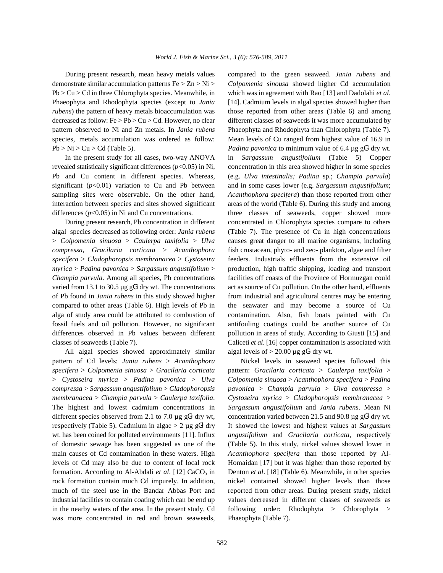demonstrate similar accumulation patterns Fe > Zn > Ni > *Colpomenia sinousa* showed higher Cd accumulation Pb > Cu > Cd in three Chlorophyta species. Meanwhile, in which was in agreement with Rao [13] and Dadolahi *et al*. Phaeophyta and Rhodophyta species (except to *Jania* [14]. Cadmium levels in algal species showed higher than *rubens*) the pattern of heavy metals bioaccumulation was those reported from other areas (Table 6) and among decreased as follow:  $Fe > Pb > Cu > Cd$ . However, no clear different classes of seaweeds it was more accumulated by pattern observed to Ni and Zn metals. In *Jania rubens* Phaeophyta and Rhodophyta than Chlorophyta (Table 7). species, metals accumulation was ordered as follow: Mean levels of Cu ranged from highest value of 16.9 in

revealed statistically significant differences  $(p<0.05)$  in Ni, concentration in this area showed higher in some species Pb and Cu content in different species. Whereas, (e.g. *Ulva intestinalis; Padina* sp.; *Champia parvula*) significant ( $p$ <0.01) variation to Cu and Pb between and in some cases lower (e.g. *Sargassum angustifolium*; sampling sites were observable. On the other hand, *Acanthophora specifera*) than those reported from other interaction between species and sites showed significant areas of the world (Table 6). During this study and among differences ( $p<0.05$ ) in Ni and Cu concentrations. three classes of seaweeds, copper showed more

algal species decreased as following order: *Jania rubens* (Table 7). The presence of Cu in high concentrations > *Colpomenia sinuosa* > *Caulerpa taxifolia* > *Ulva* causes great danger to all marine organisms, including *compressa*, *Gracilaria corticata* > *Acanthophora* fish crustacean, phyto- and zeo- plankton, algae and filter *specifera* > *Cladophoropsis membranacea* > *Cystoseira* feeders. Industrials effluents from the extensive oil *myrica* > *Padina pavonica* > *Sargassum angustifolium* > production, high traffic shipping, loading and transport *Champia parvula*. Among all species, Pb concentrations facilities off coasts of the Province of Hormuzgan could varied from 13.1 to 30.5  $\mu$ g gG<sup>1</sup> dry wt. The concentrations act as source of Cu pollution. On the other hand, effluents of Pb found in *Jania rubens* in this study showed higher from industrial and agricultural centres may be entering compared to other areas (Table 6). High levels of Pb in the seawater and may become a source of Cu alga of study area could be attributed to combustion of contamination. Also, fish boats painted with Cu fossil fuels and oil pollution. However, no significant antifouling coatings could be another source of Cu differences observed in Pb values between different pollution in areas of study. According to Giusti [15] and classes of seaweeds (Table 7). Caliceti *et al*. [16] copper contamination is associated with

All algal species showed approximately similar pattern of Cd levels: *Jania rubens* > *Acanthophora* Nickel levels in seaweed species followed this *specifera* > *Colpomenia sinuosa* > *Gracilaria corticata* pattern: *Gracilaria corticata* > *Caulerpa taxifolia* > > *Cystoseira myrica* > *Padina pavonica* > *Ulva Colpomenia sinuosa* > *Acanthophora specifera* > *Padina compressa* > *Sargassum angustifolium* > *Cladophoropsis pavonica* > *Champia parvula* > *Ulva compressa* > *membranacea* > *Champia parvula* > *Caulerpa taxifolia*. *Cystoseira myrica* > *Cladophoropsis membranacea* > The highest and lowest cadmium concentrations in *Sargassum angustifolium* and *Jania rubens*. Mean Ni different species observed from 2.1 to 7.0  $\mu$ g gG<sup>1</sup> dry wt, concentration varied between 21.5 and 90.8  $\mu$ g gG<sup>1</sup> dry wt. respectively (Table 5). Cadmium in algae > 2 µg gG<sup>1</sup> dry It showed the lowest and highest values at *Sargassum* wt. has been coined for polluted environments [11]. Influx *angustifolium* and *Gracilaria corticata*, respectively of domestic sewage has been suggested as one of the (Table 5). In this study, nickel values showed lower in main causes of Cd contamination in these waters. High *Acanthophora specifera* than those reported by Allevels of Cd may also be due to content of local rock Homaidan [17] but it was higher than those reported by formation. According to Al-Abdali *et al.* [12] CaCO<sub>3</sub> in rock formation contain much Cd impurely. In addition, nickel contained showed higher levels than those much of the steel use in the Bandar Abbas Port and reported from other areas. During present study, nickel industrial facilities to contain coating which can be end up values decreased in different classes of seaweeds as in the nearby waters of the area. In the present study, Cd following order: Rhodophyta > Chlorophyta > was more concentrated in red and brown seaweeds, Phaeophyta (Table 7).

During present research, mean heavy metals values compared to the green seaweed. *Jania rubens* and  $Pb > Ni > Cu > Cd$  (Table 5). *Padina pavonica* to minimum value of 6.4 µg gG<sup>1</sup> dry wt. In the present study for all cases, two-way ANOVA in *Sargassum angustifolium* (Table 5) Copper During present research, Pb concentration in different concentrated in Chlorophyta species compare to others algal levels of  $> 20.00 \mu g g G^1$  dry wt.

Denton *et al.* [18] (Table 6). Meanwhile, in other species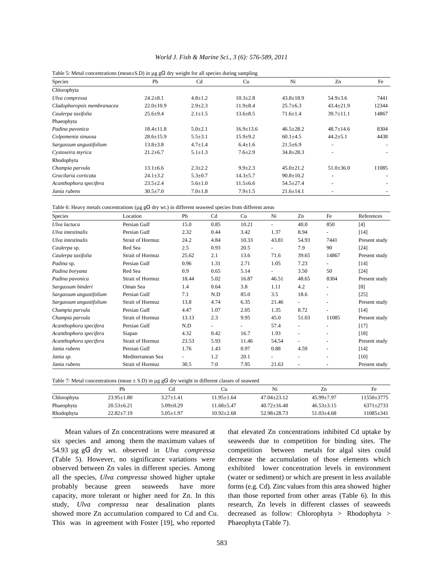| Table 5: Metal concentrations (mean $\pm$ S.D) in $\mu$ g gG <sup>1</sup> dry weight for all species during sampling |                 |                |                 |                 |                          |       |  |  |  |  |
|----------------------------------------------------------------------------------------------------------------------|-----------------|----------------|-----------------|-----------------|--------------------------|-------|--|--|--|--|
| <b>Species</b>                                                                                                       | Pb              | C <sub>d</sub> | Cu              | Ni              | Zn                       | Fe    |  |  |  |  |
| Chlorophyta                                                                                                          |                 |                |                 |                 |                          |       |  |  |  |  |
| Ulva compressa                                                                                                       | $24.2 \pm 8.1$  | $4.8 \pm 1.2$  | $10.3 \pm 2.8$  | $43.8 \pm 18.9$ | $54.9 \pm 3.6$           | 7441  |  |  |  |  |
| Cladophoropsis membranacea                                                                                           | $22.0 \pm 10.9$ | $2.9 \pm 2.3$  | $11.9 \pm 8.4$  | $25.7 + 6.3$    | $43.4 \pm 21.9$          | 12344 |  |  |  |  |
| Caulerpa taxifolia                                                                                                   | $25.6 + 9.4$    | $2.1 \pm 1.5$  | $13.6 \pm 8.5$  | $71.6 \pm 1.4$  | $39.7 \pm 11.1$          | 14867 |  |  |  |  |
| Phaeophyta                                                                                                           |                 |                |                 |                 |                          |       |  |  |  |  |
| Padina pavonica                                                                                                      | $18.4 \pm 11.8$ | $5.0 \pm 2.1$  | $16.9 \pm 13.6$ | $46.5 \pm 28.2$ | $48.7 \pm 14.6$          | 8304  |  |  |  |  |
| Colpomenia sinuosa                                                                                                   | $28.6 \pm 15.9$ | $5.5 \pm 3.1$  | $15.9 + 9.2$    | $60.1 + 4.5$    | $44.2 \pm 5.1$           | 4438  |  |  |  |  |
| Sargassum angustifolium                                                                                              | $13.8 \pm 3.8$  | $4.7 \pm 1.4$  | $6.4 \pm 1.6$   | $21.5 \pm 6.9$  |                          |       |  |  |  |  |
| Cystoseira myrica                                                                                                    | $21.2 \pm 6.7$  | $5.1 \pm 1.3$  | $7.6 \pm 2.9$   | $34.8 \pm 28.3$ | $\overline{\phantom{a}}$ |       |  |  |  |  |
| Rhodophyta                                                                                                           |                 |                |                 |                 |                          |       |  |  |  |  |
| Champia parvula                                                                                                      | $13.1 \pm 6.6$  | $2.3 \pm 2.2$  | $9.9 \pm 2.3$   | $45.0 \pm 21.2$ | $51.0 \pm 36.0$          | 11085 |  |  |  |  |
| Gracilaria corticata                                                                                                 | $24.1 \pm 3.2$  | $5.3 \pm 0.7$  | $14.3 \pm 5.7$  | $90.8 \pm 10.2$ |                          |       |  |  |  |  |
| Acanthophora specifera                                                                                               | $23.5 \pm 2.4$  | $5.6 \pm 1.0$  | $11.5 \pm 6.6$  | $54.5 \pm 27.4$ | ۰                        |       |  |  |  |  |
| Jania rubens                                                                                                         | $30.5 \pm 7.0$  | $7.0 \pm 1.8$  | $7.9 + 1.5$     | $21.6 \pm 14.1$ |                          |       |  |  |  |  |

|  |  |  |  |  |  | World J. Fish & Marine Sci., 3 (6): 576-589, 2011 |  |
|--|--|--|--|--|--|---------------------------------------------------|--|
|--|--|--|--|--|--|---------------------------------------------------|--|

Table 6: Heavy metals concentrations ( $\mu \sigma g_1^H$  dry wt.) in different seaweed species from different are

| Species                 | Location                | Pb    | Cd             | Cu             | Ni     | Zn                       | Fe                       | References    |
|-------------------------|-------------------------|-------|----------------|----------------|--------|--------------------------|--------------------------|---------------|
| Ulva lactuca            | Persian Gulf            | 15.0  | 0.85           | 10.21          | $\sim$ | 40.0                     | 850                      | [4]           |
| Ulva intestinalis       | Persian Gulf            | 2.32  | 0.44           | 3.42           | 1.37   | 8.94                     | $\overline{\phantom{0}}$ | $[14]$        |
| Ulva intestinalis       | <b>Strait of Hormuz</b> | 24.2  | 4.84           | 10.33          | 43.81  | 54.93                    | 7441                     | Present study |
| Caulerpa sp.            | Red Sea                 | 2.5   | 0.93           | 20.5           |        | 7.9                      | 90                       | $[24]$        |
| Caulerpa taxifolia      | <b>Strait of Hormuz</b> | 25.62 | 2.1            | 13.6           | 71.6   | 39.65                    | 14867                    | Present study |
| Padina sp.              | Persian Gulf            | 0.96  | 1.31           | 2.71           | 1.05   | 7.23                     |                          | $[14]$        |
| Padina boryana          | Red Sea                 | 0.9   | 0.65           | 5.14           |        | 3.50                     | 50                       | $[24]$        |
| Padina pavonica         | <b>Strait of Hormuz</b> | 18.44 | 5.02           | 16.87          | 46.51  | 48.65                    | 8304                     | Present study |
| Sargassum binderi       | Oman Sea                | 1.4   | 0.64           | 3.8            | 1.11   | 4.2                      | ٠                        | [8]           |
| Sargassum angustifolium | Persian Gulf            | 7.1   | N.D            | 85.0           | 3.5    | 18.6                     | ٠                        | $[25]$        |
| Sargassum angustifolium | <b>Strait of Hormuz</b> | 13.8  | 4.74           | 6.35           | 21.46  |                          |                          | Present study |
| Champia parvula         | Persian Gulf            | 4.47  | 1.07           | 2.05           | 1.35   | 8.72                     | ÷.                       | $[14]$        |
| Champia parvula         | <b>Strait of Hormuz</b> | 13.13 | 2.3            | 9.95           | 45.0   | 51.03                    | 11085                    | Present study |
| Acanthophora specifera  | Persian Gulf            | N.D   | $\blacksquare$ | $\blacksquare$ | 57.4   | $\overline{\phantom{a}}$ | ٠                        | $[17]$        |
| Acanthophora specifera  | Siapan                  | 4.32  | 0.42           | 16.7           | 1.93   | $\overline{a}$           | ٠                        | $[18]$        |
| Acanthophora specifera  | <b>Strait of Hormuz</b> | 23.53 | 5.93           | 11.46          | 54.54  |                          |                          | Present study |
| Jania rubens            | Persian Gulf            | 1.76  | 1.43           | 0.97           | 0.88   | 4.59                     | ٠                        | $[14]$        |
| Jania sp.               | Mediterranean Sea       |       | 1.2            | 20.1           |        |                          |                          | [10]          |
| Jania rubens            | Strait of Hormuz        | 30.5  | 7.0            | 7.95           | 21.63  | $\overline{\phantom{a}}$ |                          | Present study |

| Table 7: Metal concentrations (mean $\pm$ S.D) in µg gG <sup>1</sup> dry weight in different classes of seaweed |  |  |  |  |
|-----------------------------------------------------------------------------------------------------------------|--|--|--|--|
|-----------------------------------------------------------------------------------------------------------------|--|--|--|--|

|             | Ph               |               | Сu               | Ni                | Zn             | Fе            |
|-------------|------------------|---------------|------------------|-------------------|----------------|---------------|
| Chlorophyta | $23.95 + 1.80$   | $3.27 + 1.41$ | 11.95+1.64       | $47.04 + 23.12$   | $45.99 + 7.97$ | 11550+3775    |
| Phaeophyta  | $20.53 + 6.21$   | $5.09 + 0.29$ | 11.68+5.47       | $40.72 + 16.48$   | $46.53 + 3.15$ | $6371 + 2733$ |
| Rhodophyta  | $22.82 \pm 7.19$ | 5.05+1.97     | $10.92 \pm 2.68$ | $52.98 \pm 28.73$ | $51.03 + 4.68$ | 11085+341     |

six species and among them the maximum values of seaweeds due to competition for binding sites. The 54.93 µg gG<sup>1</sup> dry wt. observed in *Ulva compressa* (Table 5). However, no significance variations were decrease the accumulation of those elements which observed between Zn vales in different species. Among exhibited lower concentration levels in environment all the species, *Ulva compressa* showed higher uptake (water or sediment) or which are present in less available probably because green seaweeds have more forms (e.g. Cd). Zinc values from this area showed higher capacity, more tolerant or higher need for Zn. In this than those reported from other areas (Table 6). In this study, *Ulva compressa* near desalination plants research, Zn levels in different classes of seaweeds showed more Zn accumulation compared to Cd and Cu. decreased as follow: Chlorophyta > Rhodophyta > This was in agreement with Foster [19], who reported Phaeophyta (Table 7).

Mean values of Zn concentrations were measured at that elevated Zn concentrations inhibited Cd uptake by competition between metals for algal sites could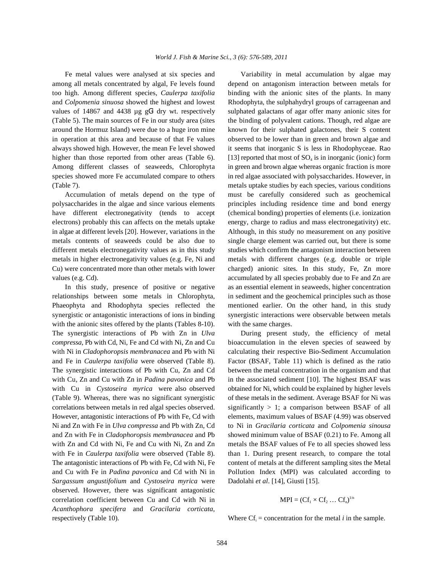among all metals concentrated by algal, Fe levels found depend on antagonism interaction between metals for too high. Among different species, *Caulerpa taxifolia* binding with the anionic sites of the plants. In many and *Colpomenia sinuosa* showed the highest and lowest Rhodophyta, the sulphahydryl groups of carrageenan and values of 14867 and 4438  $\mu$ g g $G<sup>1</sup>$  dry wt. respectively sulphated galactans of agar offer many anionic sites for (Table 5). The main sources of Fe in our study area (sites the binding of polyvalent cations. Though, red algae are around the Hormuz Island) were due to a huge iron mine known for their sulphated galactones, their S content in operation at this area and because of that Fe values observed to be lower than in green and brown algae and always showed high. However, the mean Fe level showed it seems that inorganic S is less in Rhodophyceae. Rao higher than those reported from other areas (Table 6). [13] reported that most of  $SO_4$  is in inorganic (ionic) form Among different classes of seaweeds, Chlorophyta in green and brown algae whereas organic fraction is more species showed more Fe accumulated compare to others in red algae associated with polysaccharides. However, in (Table 7). metals uptake studies by each species, various conditions

polysaccharides in the algae and since various elements principles including residence time and bond energy have different electronegativity (tends to accept (chemical bonding) properties of elements (i.e. ionization electrons) probably this can affects on the metals uptake energy, charge to radius and mass electronegativity) etc. in algae at different levels [20]. However, variations in the Although, in this study no measurement on any positive metals contents of seaweeds could be also due to single charge element was carried out, but there is some different metals electronegativity values as in this study studies which confirm the antagonism interaction between metals in higher electronegativity values (e.g. Fe, Ni and metals with different charges (e.g. double or triple Cu) were concentrated more than other metals with lower charged) anionic sites. In this study, Fe, Zn more values (e.g. Cd). The species probably due to Fe and Zn are accumulated by all species probably due to Fe and Zn are

relationships between some metals in Chlorophyta, in sediment and the geochemical principles such as those Phaeophyta and Rhodophyta species reflected the mentioned earlier. On the other hand, in this study synergistic or antagonistic interactions of ions in binding synergistic interactions were observable between metals with the anionic sites offered by the plants (Tables 8-10). with the same charges. The synergistic interactions of Pb with Zn in *Ulva* During present study, the efficiency of metal *compressa*, Pb with Cd, Ni, Fe and Cd with Ni, Zn and Cu bioaccumulation in the eleven species of seaweed by with Ni in *Cladophoropsis membranacea* and Pb with Ni calculating their respective Bio-Sediment Accumulation and Fe in *Caulerpa taxifolia* were observed (Table 8). Factor (BSAF, Table 11) which is defined as the ratio The synergistic interactions of Pb with Cu, Zn and Cd between the metal concentration in the organism and that with Cu, Zn and Cu with Zn in *Padina pavonica* and Pb in the associated sediment [10]. The highest BSAF was with Cu in *Cystoseira myrica* were also observed obtained for Ni, which could be explained by higher levels (Table 9). Whereas, there was no significant synergistic of these metals in the sediment. Average BSAF for Ni was correlations between metals in red algal species observed. significantly  $> 1$ ; a comparison between BSAF of all However, antagonistic interactions of Pb with Fe, Cd with elements, maximum values of BSAF (4.99) was observed Ni and Zn with Fe in *Ulva compressa* and Pb with Zn, Cd to Ni in *Gracilaria corticata* and *Colpomenia sinousa* and Zn with Fe in *Cladophoropsis membranacea* and Pb showed minimum value of BSAF (0.21) to Fe. Among all with Zn and Cd with Ni, Fe and Cu with Ni, Zn and Zn metals the BSAF values of Fe to all species showed less with Fe in *Caulerpa taxifolia* were observed (Table 8). than 1. During present research, to compare the total The antagonistic interactions of Pb with Fe, Cd with Ni, Fe content of metals at the different sampling sites the Metal and Cu with Fe in *Padina pavonica* and Cd with Ni in Pollution Index (MPI) was calculated according to *Sargassum angustifolium* and *Cystoseira myrica* were Dadolahi *et al*. [14], Giusti [15]. observed. However, there was significant antagonistic correlation coefficient between Cu and Cd with Ni in *Acanthophora specifera* and *Gracilaria corticata*, respectively (Table 10). Where  $\text{Cf}_i$  = concentration for the metal *i* in the sample.

Fe metal values were analysed at six species and Variability in metal accumulation by algae may Accumulation of metals depend on the type of must be carefully considered such as geochemical In this study, presence of positive or negative as an essential element in seaweeds, higher concentration

$$
MPI = (Cf1 \times Cf2 \dots Cfn)1/n
$$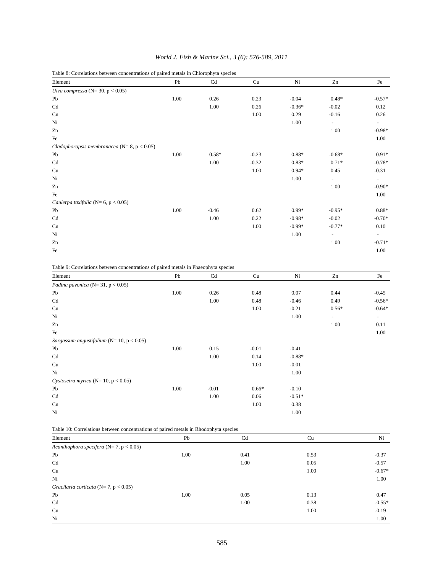|  | World J. Fish & Marine Sci., 3 (6): 576-589, 2011 |  |  |
|--|---------------------------------------------------|--|--|
|  |                                                   |  |  |

Table 8: Correlations between concentrations of paired metals in Chlorophyta species

| Element                                             | Pb   | Cd      | Cu      | Ni       | Zn                       | Fe                       |
|-----------------------------------------------------|------|---------|---------|----------|--------------------------|--------------------------|
| Ulva compressa ( $N = 30$ , $p < 0.05$ )            |      |         |         |          |                          |                          |
| Pb                                                  | 1.00 | 0.26    | 0.23    | $-0.04$  | $0.48*$                  | $-0.57*$                 |
| Cd                                                  |      | 1.00    | 0.26    | $-0.36*$ | $-0.02$                  | 0.12                     |
| Cu                                                  |      |         | 1.00    | 0.29     | $-0.16$                  | 0.26                     |
| Ni                                                  |      |         |         | 1.00     | $\overline{\phantom{a}}$ |                          |
| Zn                                                  |      |         |         |          | 1.00                     | $-0.98*$                 |
| Fe                                                  |      |         |         |          |                          | 1.00                     |
| Cladophoropsis membranacea ( $N = 8$ , $p < 0.05$ ) |      |         |         |          |                          |                          |
| Pb                                                  | 1.00 | $0.58*$ | $-0.23$ | $0.88*$  | $-0.68*$                 | $0.91*$                  |
| Cd                                                  |      | 1.00    | $-0.32$ | $0.83*$  | $0.71*$                  | $-0.78*$                 |
| Cu                                                  |      |         | 1.00    | $0.94*$  | 0.45                     | $-0.31$                  |
| Ni                                                  |      |         |         | 1.00     | $\overline{\phantom{0}}$ | $\overline{\phantom{a}}$ |
| Zn                                                  |      |         |         |          | 1.00                     | $-0.90*$                 |
| Fe                                                  |      |         |         |          |                          | 1.00                     |
| Caulerpa taxifolia ( $N=6$ , $p < 0.05$ )           |      |         |         |          |                          |                          |
| Pb                                                  | 1.00 | $-0.46$ | 0.62    | $0.99*$  | $-0.95*$                 | $0.88*$                  |
| Cd                                                  |      | 1.00    | 0.22    | $-0.98*$ | $-0.02$                  | $-0.70*$                 |
| Cu                                                  |      |         | 1.00    | $-0.99*$ | $-0.77*$                 | 0.10                     |
| Ni                                                  |      |         |         | 1.00     | $\overline{\phantom{a}}$ | $\overline{\phantom{0}}$ |
| Zn                                                  |      |         |         |          | 1.00                     | $-0.71*$                 |
| Fe                                                  |      |         |         |          |                          | 1.00                     |

Table 9: Correlations between concentrations of paired metals in Phaeophyta species

| Element                                           | Pb   | Cd      | Cu      | Ni       | Zn      | Fe                       |
|---------------------------------------------------|------|---------|---------|----------|---------|--------------------------|
| Padina pavonica ( $N = 31$ , $p < 0.05$ )         |      |         |         |          |         |                          |
| Pb                                                | 1.00 | 0.26    | 0.48    | 0.07     | 0.44    | $-0.45$                  |
| Cd                                                |      | 1.00    | 0.48    | $-0.46$  | 0.49    | $-0.56*$                 |
| Cu                                                |      |         | 1.00    | $-0.21$  | $0.56*$ | $-0.64*$                 |
| Ni                                                |      |         |         | 1.00     | $\sim$  | $\overline{\phantom{a}}$ |
| Zn                                                |      |         |         |          | 1.00    | 0.11                     |
| Fe                                                |      |         |         |          |         | 1.00                     |
| Sargassum angustifolium ( $N = 10$ , $p < 0.05$ ) |      |         |         |          |         |                          |
| Pb                                                | 1.00 | 0.15    | $-0.01$ | $-0.41$  |         |                          |
| Cd                                                |      | 1.00    | 0.14    | $-0.88*$ |         |                          |
| Cu                                                |      |         | 1.00    | $-0.01$  |         |                          |
| Ni                                                |      |         |         | 1.00     |         |                          |
| Cystoseira myrica (N= 10, p < 0.05)               |      |         |         |          |         |                          |
| Pb                                                | 1.00 | $-0.01$ | $0.66*$ | $-0.10$  |         |                          |
| Cd                                                |      | 1.00    | 0.06    | $-0.51*$ |         |                          |
| Cu                                                |      |         | 1.00    | 0.38     |         |                          |
| Ni                                                |      |         |         | 1.00     |         |                          |

Table 10: Correlations between concentrations of paired metals in Rhodophyta species

| Element                                         | $\sim$<br>Pb | Cd   | Cu   | Ni       |
|-------------------------------------------------|--------------|------|------|----------|
| Acanthophora specifera ( $N = 7$ , $p < 0.05$ ) |              |      |      |          |
| Pb                                              | 1.00         | 0.41 | 0.53 | $-0.37$  |
| Cd                                              |              | 1.00 | 0.05 | $-0.57$  |
| Cu                                              |              |      | 1.00 | $-0.67*$ |
| Ni                                              |              |      |      | 1.00     |
| Gracilaria corticata ( $N=7$ , $p < 0.05$ )     |              |      |      |          |
| Pb                                              | 1.00         | 0.05 | 0.13 | 0.47     |
| Cd                                              |              | 1.00 | 0.38 | $-0.55*$ |
| Cu                                              |              |      | 1.00 | $-0.19$  |
| Ni                                              |              |      |      | 1.00     |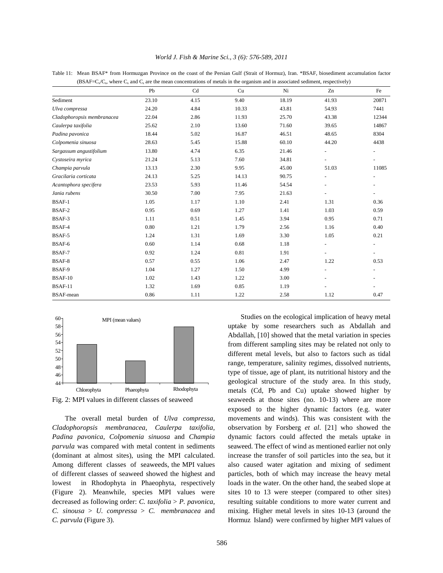| World J. Fish & Marine Sci., 3 (6): 576-589, 2011 |  |  |  |
|---------------------------------------------------|--|--|--|
|---------------------------------------------------|--|--|--|

(BSAF= $C_x/C_s$ , where  $C_x$  and  $C_s$  are the mean concentrations of metals in the organism and in associated sediment, respectively) Pb Cd Cu Ni Zn Fe Sediment 23.10 4.15 9.40 18.19 41.93 20871 *Ulva compressa* 24.20 4.84 10.33 43.81 54.93 7441 *Cladophoropsis membranacea* 22.04 2.86 11.93 25.70 43.38 12344 *Caulerpa taxifolia* 25.62 2.10 13.60 71.60 39.65 14867 *Padina pavonica* 18.44 5.02 16.87 46.51 48.65 8304 *Colpomenia sinuosa* 28.63 5.45 15.88 60.10 44.20 4438 *Sargassum angustifolium* 13.80 4.74 6.35 21.46 *Cystoseira myrica* 21.24 5.13 7.60 34.81 *Champia parvula* 13.13 2.30 9.95 45.00 51.03 11085 *Gracilaria corticata* 24.13 5.25 14.13 90.75 *Acantophora specifera* 23.53 5.93 11.46 54.54 *Jania rubens* 30.50 7.00 7.95 21.63 - - BSAF-1 1.05 1.17 1.10 2.41 1.31 0.36 BSAF-2 0.95 0.69 1.27 1.41 1.03 0.59 BSAF-3 1.11 0.51 1.45 3.94 0.95 0.71 BSAF-4 0.80 1.21 1.79 2.56 1.16 0.40 BSAF-5 1.24 1.31 1.69 3.30 1.05 0.21  $BSAF-6$  0.60 1.14 0.68 1.18 - - - -BSAF-7 0.92 1.24 0.81 1.91 - - BSAF-8 0.57 0.55 1.06 2.47 1.22 0.53 BSAF-9 1.04 1.27 1.50 4.99 - - BSAF-10 1.02 1.43 1.22 3.00 - - BSAF-11 1.32 1.69 0.85 1.19 - - BSAF-mean 0.86 1.11 1.22 2.58 1.12 0.47





of different classes of seaweed showed the highest and particles, both of which may increase the heavy metal

Fig. 2: MPI values in different classes of seaweed seaweeds at those sites (no. 10-13) where are more The overall metal burden of *Ulva compressa,* movements and winds). This was consistent with the *Cladophoropsis membranacea, Caulerpa taxifolia,* observation by Forsberg *et al*. [21] who showed the *Padina pavonica, Colpomenia sinuosa* and *Champia* dynamic factors could affected the metals uptake in *parvula* was compared with metal content in sediments seaweed. The effect of wind as mentioned earlier not only (dominant at almost sites), using the MPI calculated. increase the transfer of soil particles into the sea, but it Among different classes of seaweeds, the MPI values also caused water agitation and mixing of sediment lowest in Rhodophyta in Phaeophyta, respectively loads in the water. On the other hand, the seabed slope at (Figure 2). Meanwhile, species MPI values were sites 10 to 13 were steeper (compared to other sites) decreased as following order: *C. taxifolia* > *P. pavonica*, resulting suitable conditions to more water current and *C. sinousa* > *U. compressa* > *C. membranacea* and mixing. Higher metal levels in sites 10-13 (around the *C. parvula* (Figure 3). Hormuz Island) were confirmed by higher MPI values of Studies on the ecological implication of heavy metal uptake by some researchers such as Abdallah and Abdallah, [10] showed that the metal variation in species from different sampling sites may be related not only to different metal levels, but also to factors such as tidal range, temperature, salinity regimes, dissolved nutrients, type of tissue, age of plant, its nutritional history and the geological structure of the study area. In this study, metals (Cd, Pb and Cu) uptake showed higher by exposed to the higher dynamic factors (e.g. water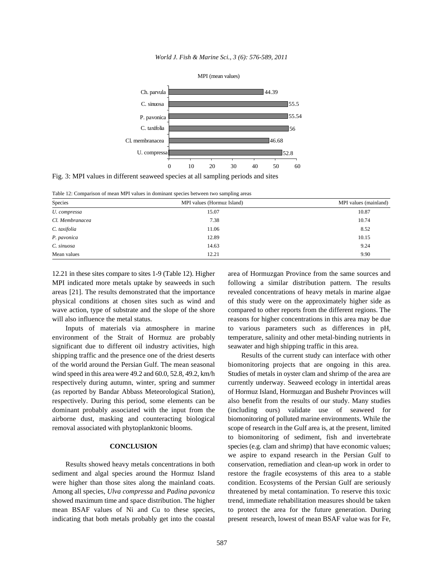



Fig. 3: MPI values in different seaweed species at all sampling periods and sites

Table 12: Comparison of mean MPI values in dominant species between two sampling areas

| Species         | MPI values (Hormuz Island) | MPI values (mainland) |
|-----------------|----------------------------|-----------------------|
| U. compressa    | 15.07                      | 10.87                 |
| Cl. Membranacea | 7.38                       | 10.74                 |
| C. taxifolia    | 11.06                      | 8.52                  |
| P. pavonica     | 12.89                      | 10.15                 |
| C. sinuosa      | 14.63                      | 9.24                  |
| Mean values     | 12.21                      | 9.90                  |

12.21 in these sites compare to sites 1-9 (Table 12). Higher area of Hormuzgan Province from the same sources and MPI indicated more metals uptake by seaweeds in such following a similar distribution pattern. The results areas [21]. The results demonstrated that the importance revealed concentrations of heavy metals in marine algae physical conditions at chosen sites such as wind and of this study were on the approximately higher side as wave action, type of substrate and the slope of the shore compared to other reports from the different regions. The will also influence the metal status. reasons for higher concentrations in this area may be due

environment of the Strait of Hormuz are probably temperature, salinity and other metal-binding nutrients in significant due to different oil industry activities, high seawater and high shipping traffic in this area. shipping traffic and the presence one of the driest deserts Results of the current study can interface with other of the world around the Persian Gulf. The mean seasonal biomonitoring projects that are ongoing in this area.

indicating that both metals probably get into the coastal present research, lowest of mean BSAF value was for Fe,

Inputs of materials via atmosphere in marine to various parameters such as differences in pH,

wind speed in this area were 49.2 and 60.0, 52.8, 49.2, km/h Studies of metals in oyster clam and shrimp of the area are respectively during autumn, winter, spring and summer currently underway. Seaweed ecology in intertidal areas (as reported by Bandar Abbass Meteorological Station), of Hormuz Island, Hormuzgan and Bushehr Provinces will respectively. During this period, some elements can be also benefit from the results of our study. Many studies dominant probably associated with the input from the (including ours) validate use of seaweed for airborne dust, masking and counteracting biological biomonitoring of polluted marine environments. While the removal associated with phytoplanktonic blooms. scope of research in the Gulf area is, at the present, limited **CONCLUSION** species (e.g. clam and shrimp) that have economic values; Results showed heavy metals concentrations in both conservation, remediation and clean-up work in order to sediment and algal species around the Hormuz Island restore the fragile ecosystems of this area to a stable were higher than those sites along the mainland coats. condition. Ecosystems of the Persian Gulf are seriously Among all species, *Ulva compressa* and *Padina pavonica* threatened by metal contamination. To reserve this toxic showed maximum time and space distribution. The higher trend, immediate rehabilitation measures should be taken mean BSAF values of Ni and Cu to these species, to protect the area for the future generation. During to biomonitoring of sediment, fish and invertebrate we aspire to expand research in the Persian Gulf to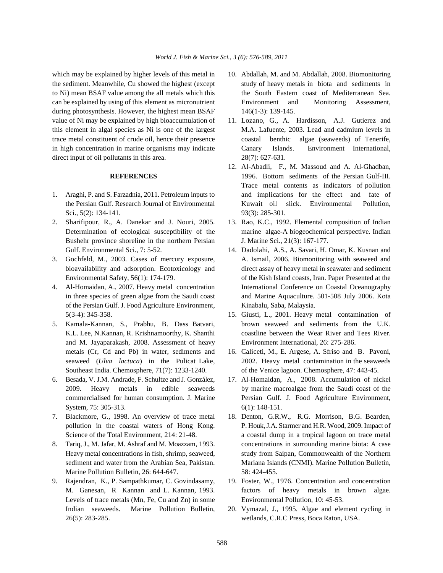which may be explained by higher levels of this metal in 10. Abdallah, M. and M. Abdallah, 2008. Biomonitoring the sediment. Meanwhile, Cu showed the highest (except study of heavy metals in biota and sediments in to Ni) mean BSAF value among the all metals which this the South Eastern coast of Mediterranean Sea. can be explained by using of this element as micronutrient Environment and Monitoring Assessment, during photosynthesis. However, the highest mean BSAF 146(1-3): 139-145. value of Ni may be explained by high bioaccumulation of 11. Lozano, G., A. Hardisson, A.J. Gutierez and direct input of oil pollutants in this area. 28(7): 627-631.

- Sci.,  $5(2)$ : 134-141. 93(3): 285-301.
- Bushehr province shoreline in the northern Persian J. Marine Sci., 21(3): 167-177. Gulf. Environmental Sci., 7: 5-52. 14. Dadolahi, A.S., A. Savari, H. Omar, K. Kusnan and
- 
- of the Persian Gulf. J. Food Agriculture Environment, Kinabalu, Saba, Malaysia. 5(3-4): 345-358. 15. Giusti, L., 2001. Heavy metal contamination of
- and M. Jayaparakash, 2008. Assessment of heavy Environment International, 26: 275-286. metals (Cr, Cd and Pb) in water, sediments and 16. Caliceti, M., E. Argese, A. Sfriso and B. Pavoni, Southeast India. Chemosphere, 71(7): 1233-1240. of the Venice lagoon. Chemosphere, 47: 443-45.
- System, 75: 305-313. 6(1): 148-151.
- 
- Marine Pollution Bulletin, 26: 644-647. 58: 424-455.
- Levels of trace metals (Mn, Fe, Cu and Zn) in some Environmental Pollution, 10: 45-53. Indian seaweeds. Marine Pollution Bulletin, 20. Vymazal, J., 1995. Algae and element cycling in 26(5): 283-285. wetlands, C.R.C Press, Boca Raton, USA.
- 
- this element in algal species as Ni is one of the largest M.A. Lafuente, 2003. Lead and cadmium levels in trace metal constituent of crude oil, hence their presence coastal benthic algae (seaweeds) of Tenerife, in high concentration in marine organisms may indicate Canary Islands. Environment International,
- **REFERENCES** 1996. Bottom sediments of the Persian Gulf-III. 1. Araghi, P. and S. Farzadnia, 2011. Petroleum inputs to and implications for the effect and fate of the Persian Gulf. Research Journal of Environmental Kuwait oil slick. Environmental Pollution, 12. Al-Abadli, F., M. Massoud and A. Al-Ghadban, Trace metal contents as indicators of pollution
- 2. Sharifipour, R., A. Danekar and J. Nouri, 2005. 13. Rao, K.C., 1992. Elemental composition of Indian Determination of ecological susceptibility of the marine algae-A biogeochemical perspective. Indian
- 3. Gochfeld, M., 2003. Cases of mercury exposure, A. Ismail, 2006. Biomonitoring with seaweed and bioavailability and adsorption. Ecotoxicology and direct assay of heavy metal in seawater and sediment Environmental Safety, 56(1): 174-179. of the Kish Island coasts, Iran. Paper Presented at the 4. Al-Homaidan, A., 2007. Heavy metal concentration International Conference on Coastal Oceanography in three species of green algae from the Saudi coast and Marine Aquaculture. 501-508 July 2006. Kota
- 5. Kamala-Kannan, S., Prabhu, B. Dass Batvari, brown seaweed and sediments from the U.K. K.L. Lee, N.Kannan, R. Krishnamoorthy, K. Shanthi coastline between the Wear River and Tees River.
	- seaweed (*Ulva lactuca*) in the Pulicat Lake, 2002. Heavy metal contamination in the seaweeds
- 6. Besada, V. J.M. Andrade, F. Schultze and J. González, 17. Al-Homaidan, A., 2008. Accumulation of nickel 2009. Heavy metals in edible seaweeds by marine macroalgae from the Saudi coast of the commercialised for human consumption. J. Marine Persian Gulf. J. Food Agriculture Environment,
- 7. Blackmore, G., 1998. An overview of trace metal 18. Denton, G.R.W., R.G. Morrison, B.G. Bearden, pollution in the coastal waters of Hong Kong. P. Houk, J.A. Starmer and H.R. Wood, 2009. Impact of Science of the Total Environment, 214: 21-48. a coastal dump in a tropical lagoon on trace metal 8. Tariq, J., M. Jafar, M. Ashraf and M. Moazzam, 1993. concentrations in surrounding marine biota: A case Heavy metal concentrations in fish, shrimp, seaweed, study from Saipan, Commonwealth of the Northern sediment and water from the Arabian Sea, Pakistan. Mariana Islands (CNMI). Marine Pollution Bulletin,
- 9. Rajendran, K., P. Sampathkumar, C. Govindasamy, 19. Foster, W., 1976. Concentration and concentration M. Ganesan, R Kannan and L. Kannan, 1993. factors of heavy metals in brown algae.
	-